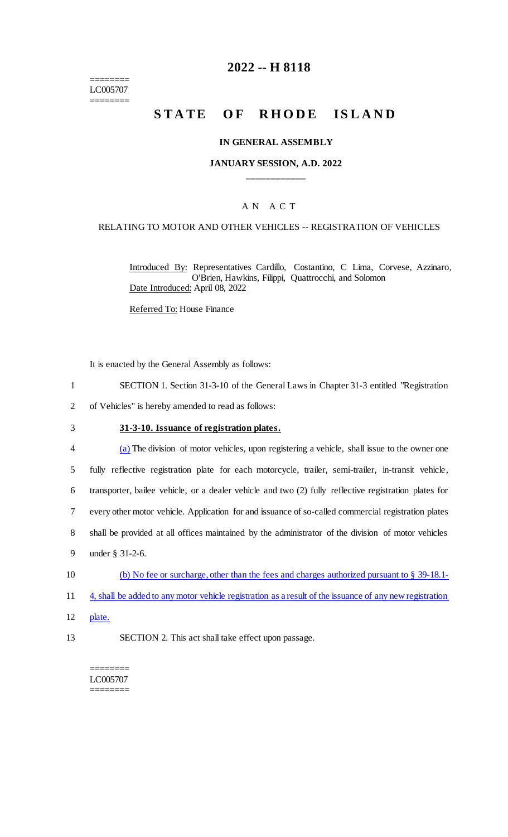======== LC005707 ========

## **2022 -- H 8118**

# STATE OF RHODE ISLAND

#### **IN GENERAL ASSEMBLY**

### **JANUARY SESSION, A.D. 2022 \_\_\_\_\_\_\_\_\_\_\_\_**

### A N A C T

#### RELATING TO MOTOR AND OTHER VEHICLES -- REGISTRATION OF VEHICLES

Introduced By: Representatives Cardillo, Costantino, C Lima, Corvese, Azzinaro, O'Brien, Hawkins, Filippi, Quattrocchi, and Solomon Date Introduced: April 08, 2022

Referred To: House Finance

It is enacted by the General Assembly as follows:

- 1 SECTION 1. Section 31-3-10 of the General Laws in Chapter 31-3 entitled "Registration
- 2 of Vehicles" is hereby amended to read as follows:
- 3 **31-3-10. Issuance of registration plates.**
- 4 (a) The division of motor vehicles, upon registering a vehicle, shall issue to the owner one 5 fully reflective registration plate for each motorcycle, trailer, semi-trailer, in-transit vehicle, 6 transporter, bailee vehicle, or a dealer vehicle and two (2) fully reflective registration plates for 7 every other motor vehicle. Application for and issuance of so-called commercial registration plates 8 shall be provided at all offices maintained by the administrator of the division of motor vehicles 9 under § 31-2-6. 10 (b) No fee or surcharge, other than the fees and charges authorized pursuant to § 39-18.1-
- 11 4, shall be added to any motor vehicle registration as a result of the issuance of any new registration
- 12 plate.
- 13 SECTION 2. This act shall take effect upon passage.

======== LC005707 ========